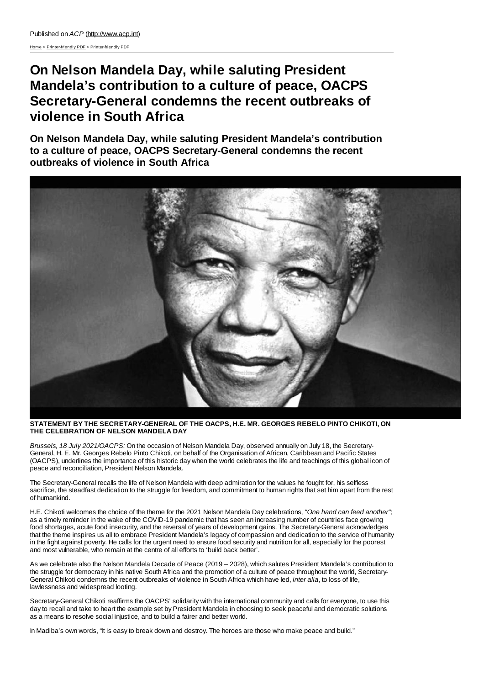[Home](http://www.acp.int/) > [Printer-friendly](http://www.acp.int/printpdf) PDF > Printer-friendly PDF

## **On Nelson Mandela Day, while saluting President Mandela's contribution to a culture of peace, OACPS Secretary-General condemns the recent outbreaks of violence in South Africa**

**On Nelson Mandela Day, while saluting President Mandela's contribution to a culture of peace, OACPS Secretary-General condemns the recent outbreaks of violence in South Africa**



**STATEMENT BY THE SECRETARY-GENERAL OF THE OACPS, H.E. MR. GEORGES REBELO PINTO CHIKOTI, ON THE CELEBRATION OF NELSON MANDELA DAY**

*Brussels, 18 July 2021/OACPS:* On the occasion of Nelson Mandela Day, observed annually on July 18, the Secretary-General, H. E. Mr. Georges Rebelo Pinto Chikoti, on behalf of the Organisation of African, Caribbean and Pacific States (OACPS), underlines the importance of this historic day when the world celebrates the life and teachings of this global icon of peace and reconciliation, President Nelson Mandela.

The Secretary-General recalls the life of Nelson Mandela with deep admiration for the values he fought for, his selfless sacrifice, the steadfast dedication to the struggle for freedom, and commitment to human rights that set him apart from the rest of humankind.

H.E. Chikoti welcomes the choice of the theme for the 2021 Nelson Mandela Day celebrations, *"One hand can feed another"*; as a timely reminder in the wake of the COVID-19 pandemic that has seen an increasing number of countries face growing food shortages, acute food insecurity, and the reversal of years of development gains. The Secretary-General acknowledges that the theme inspires us all to embrace President Mandela's legacy of compassion and dedication to the service of humanity in the fight against poverty. He calls for the urgent need to ensure food security and nutrition for all, especially for the poorest and most vulnerable, who remain at the centre of all efforts to 'build back better'.

As we celebrate also the Nelson Mandela Decade of Peace (2019 – 2028), which salutes President Mandela's contribution to the struggle for democracy in his native South Africa and the promotion of a culture of peace throughout the world, Secretary-General Chikoti condemns the recent outbreaks of violence in South Africa which have led, *inter alia*, to loss of life, lawlessness and widespread looting.

Secretary-General Chikoti reaffirms the OACPS' solidarity with the international community and calls for everyone, to use this day to recall and take to heart the example set by President Mandela in choosing to seek peaceful and democratic solutions as a means to resolve social injustice, and to build a fairer and better world.

In Madiba's own words, "It is easy to break down and destroy. The heroes are those who make peace and build."